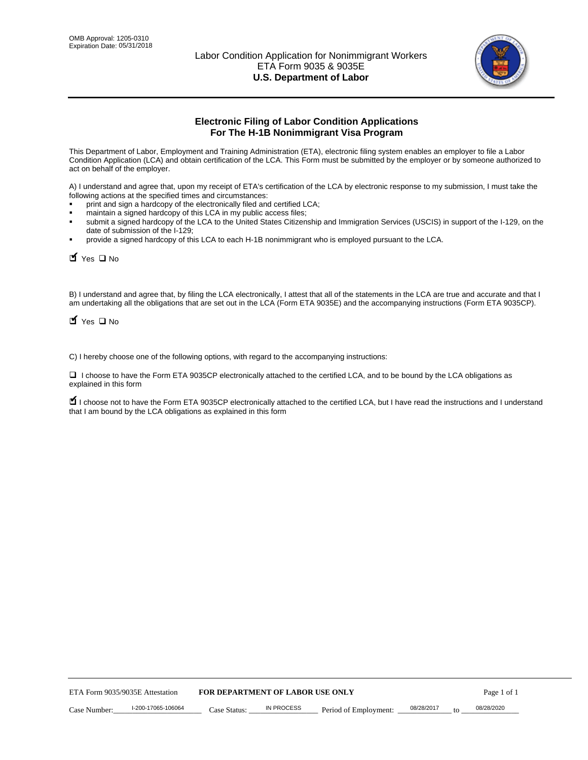

# **Electronic Filing of Labor Condition Applications For The H-1B Nonimmigrant Visa Program**

This Department of Labor, Employment and Training Administration (ETA), electronic filing system enables an employer to file a Labor Condition Application (LCA) and obtain certification of the LCA. This Form must be submitted by the employer or by someone authorized to act on behalf of the employer.

A) I understand and agree that, upon my receipt of ETA's certification of the LCA by electronic response to my submission, I must take the following actions at the specified times and circumstances:

- print and sign a hardcopy of the electronically filed and certified LCA;
- maintain a signed hardcopy of this LCA in my public access files;
- submit a signed hardcopy of the LCA to the United States Citizenship and Immigration Services (USCIS) in support of the I-129, on the date of submission of the I-129;
- provide a signed hardcopy of this LCA to each H-1B nonimmigrant who is employed pursuant to the LCA.

| Yes O No                                                                                                                                                                                                                                                                                                               |                                  |                   |                       |                  |             |
|------------------------------------------------------------------------------------------------------------------------------------------------------------------------------------------------------------------------------------------------------------------------------------------------------------------------|----------------------------------|-------------------|-----------------------|------------------|-------------|
| B) I understand and agree that, by filing the LCA electronically, I attest that all of the statements in the LCA are true and accurate and th<br>am undertaking all the obligations that are set out in the LCA (Form ETA 9035E) and the accompanying instructions (Form ETA 9035CF<br>$\blacksquare$ Yes $\square$ No |                                  |                   |                       |                  |             |
| C) I hereby choose one of the following options, with regard to the accompanying instructions:                                                                                                                                                                                                                         |                                  |                   |                       |                  |             |
| □ I choose to have the Form ETA 9035CP electronically attached to the certified LCA, and to be bound by the LCA obligations as<br>explained in this form                                                                                                                                                               |                                  |                   |                       |                  |             |
| I choose not to have the Form ETA 9035CP electronically attached to the certified LCA, but I have read the instructions and I unders<br>that I am bound by the LCA obligations as explained in this form                                                                                                               |                                  |                   |                       |                  |             |
|                                                                                                                                                                                                                                                                                                                        |                                  |                   |                       |                  |             |
|                                                                                                                                                                                                                                                                                                                        |                                  |                   |                       |                  |             |
|                                                                                                                                                                                                                                                                                                                        |                                  |                   |                       |                  |             |
|                                                                                                                                                                                                                                                                                                                        |                                  |                   |                       |                  |             |
|                                                                                                                                                                                                                                                                                                                        |                                  |                   |                       |                  |             |
|                                                                                                                                                                                                                                                                                                                        |                                  |                   |                       |                  |             |
|                                                                                                                                                                                                                                                                                                                        |                                  |                   |                       |                  |             |
|                                                                                                                                                                                                                                                                                                                        |                                  |                   |                       |                  |             |
|                                                                                                                                                                                                                                                                                                                        |                                  |                   |                       |                  |             |
|                                                                                                                                                                                                                                                                                                                        |                                  |                   |                       |                  |             |
| ETA Form 9035/9035E Attestation                                                                                                                                                                                                                                                                                        | FOR DEPARTMENT OF LABOR USE ONLY |                   |                       |                  | Page 1 of 1 |
| I-200-17065-106064<br>Case Number:                                                                                                                                                                                                                                                                                     | Case Status:                     | <b>IN PROCESS</b> | Period of Employment: | 08/28/2017<br>to | 08/28/2020  |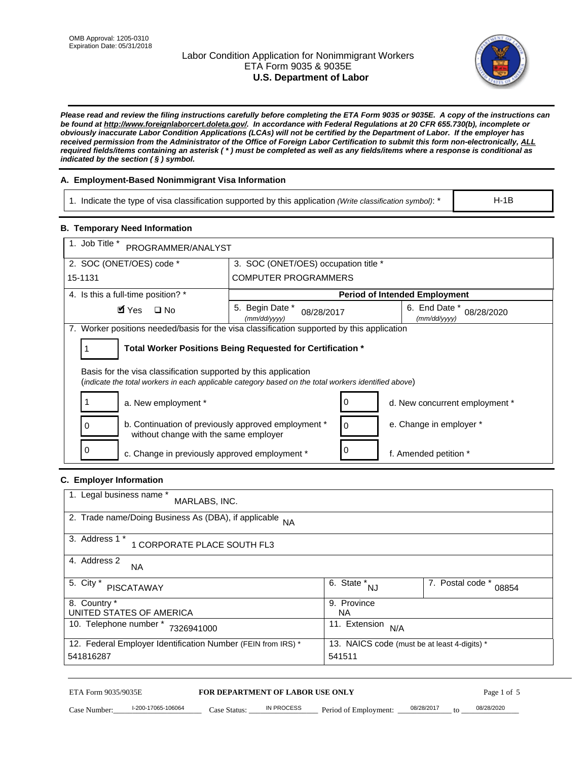# Labor Condition Application for Nonimmigrant Workers ETA Form 9035 & 9035E **U.S. Department of Labor**



*Please read and review the filing instructions carefully before completing the ETA Form 9035 or 9035E. A copy of the instructions can be found at http://www.foreignlaborcert.doleta.gov/. In accordance with Federal Regulations at 20 CFR 655.730(b), incomplete or obviously inaccurate Labor Condition Applications (LCAs) will not be certified by the Department of Labor. If the employer has received permission from the Administrator of the Office of Foreign Labor Certification to submit this form non-electronically, ALL required fields/items containing an asterisk ( \* ) must be completed as well as any fields/items where a response is conditional as indicated by the section ( § ) symbol.* 

# **A. Employment-Based Nonimmigrant Visa Information**

1. Indicate the type of visa classification supported by this application *(Write classification symbol)*: \*

### **B. Temporary Need Information**

| 1. Indicate the type of visa classification supported by this application (Write classification symbol): *                                                              |                                                                             |                                                 |                                | $H-1B$                    |  |
|-------------------------------------------------------------------------------------------------------------------------------------------------------------------------|-----------------------------------------------------------------------------|-------------------------------------------------|--------------------------------|---------------------------|--|
| <b>B. Temporary Need Information</b>                                                                                                                                    |                                                                             |                                                 |                                |                           |  |
| 1. Job Title *<br>PROGRAMMER/ANALYST                                                                                                                                    |                                                                             |                                                 |                                |                           |  |
| 2. SOC (ONET/OES) code *                                                                                                                                                | 3. SOC (ONET/OES) occupation title *                                        |                                                 |                                |                           |  |
| 15-1131                                                                                                                                                                 | <b>COMPUTER PROGRAMMERS</b>                                                 |                                                 |                                |                           |  |
| 4. Is this a full-time position? *                                                                                                                                      | <b>Period of Intended Employment</b>                                        |                                                 |                                |                           |  |
| $\blacksquare$ Yes<br>$\square$ No                                                                                                                                      | 5. Begin Date *<br>(mm/dd/yyyy)                                             | 08/28/2017                                      | 6. End Date *<br>(mm/dd/yyyy)  | 08/28/2020                |  |
| 7. Worker positions needed/basis for the visa classification supported by this application                                                                              |                                                                             |                                                 |                                |                           |  |
| Total Worker Positions Being Requested for Certification *<br>1                                                                                                         |                                                                             |                                                 |                                |                           |  |
| Basis for the visa classification supported by this application<br>(indicate the total workers in each applicable category based on the total workers identified above) |                                                                             |                                                 |                                |                           |  |
| 1<br>a. New employment *                                                                                                                                                |                                                                             | 0                                               | d. New concurrent employment * |                           |  |
| b. Continuation of previously approved employment *<br>0<br>without change with the same employer                                                                       |                                                                             |                                                 | e. Change in employer *        |                           |  |
| 0                                                                                                                                                                       | 0<br>c. Change in previously approved employment *<br>f. Amended petition * |                                                 |                                |                           |  |
| C. Employer Information                                                                                                                                                 |                                                                             |                                                 |                                |                           |  |
| 1. Legal business name *<br>MARLABS, INC.                                                                                                                               |                                                                             |                                                 |                                |                           |  |
| 2. Trade name/Doing Business As (DBA), if applicable NA                                                                                                                 |                                                                             |                                                 |                                |                           |  |
| 3. Address 1 *<br>1 CORPORATE PLACE SOUTH FL3                                                                                                                           |                                                                             |                                                 |                                |                           |  |
| 4. Address 2<br>NA.                                                                                                                                                     |                                                                             |                                                 |                                |                           |  |
| 5. City *<br><b>PISCATAWAY</b>                                                                                                                                          |                                                                             | $\overline{6. \quad \text{State}}^*_{\quad NJ}$ |                                | 7. Postal code *<br>08854 |  |
| 8. Country *<br>UNITED STATES OF AMERICA                                                                                                                                |                                                                             | 9. Province<br><b>NA</b>                        |                                |                           |  |
| 10. Telephone number * 7326941000                                                                                                                                       |                                                                             | 11. Extension $N/A$                             |                                |                           |  |
| 12. Federal Employer Identification Number (FEIN from IRS) *<br>13. NAICS code (must be at least 4-digits) *<br>541816287<br>541511                                     |                                                                             |                                                 |                                |                           |  |
| ETA Form 9035/9035E                                                                                                                                                     |                                                                             |                                                 |                                | Page 1 of 5               |  |
| I-200-17065-106064<br>Case Number:<br>$Case$ Statue                                                                                                                     | FOR DEPARTMENT OF LABOR USE ONLY<br>IN PROCESS                              | Period of Employment:                           | 08/28/2017                     | 08/28/2020                |  |

# **C. Employer Information**

| 1. Legal business name *<br>MARLABS, INC.                    |                                              |                           |
|--------------------------------------------------------------|----------------------------------------------|---------------------------|
| 2. Trade name/Doing Business As (DBA), if applicable NA      |                                              |                           |
| 3. Address 1 *<br>1 CORPORATE PLACE SOUTH FL3                |                                              |                           |
| 4. Address 2<br><b>NA</b>                                    |                                              |                           |
| 5. City *<br><b>PISCATAWAY</b>                               | 6. State *<br><b>NJ</b>                      | 7. Postal code *<br>08854 |
| 8. Country *                                                 | 9. Province                                  |                           |
| UNITED STATES OF AMERICA                                     | NA.                                          |                           |
| 10. Telephone number *<br>7326941000                         | 11. Extension<br>N/A                         |                           |
| 12. Federal Employer Identification Number (FEIN from IRS) * | 13. NAICS code (must be at least 4-digits) * |                           |
| 541816287                                                    | 541511                                       |                           |

# ETA Form 9035/9035E **FOR DEPARTMENT OF LABOR USE ONLY** Page 1 of 5<br>Case Number: 1-200-17065-106064 Case Status: IN PROCESS Period of Employment: 08/28/2017 to 08/28/2020

Case Number: 1-200-17065-106064 Case Status: IN PROCESS Period of Employment: 08/28/2017 to 08/28/2020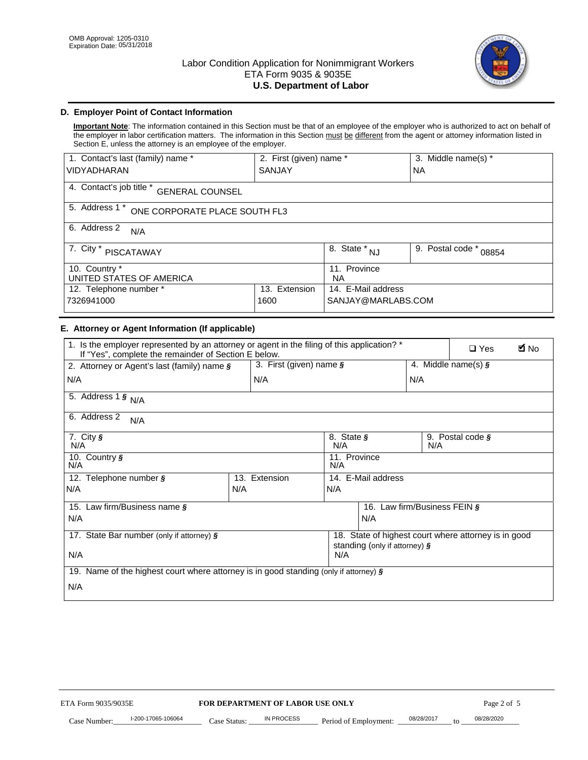

# **D. Employer Point of Contact Information**

**Important Note**: The information contained in this Section must be that of an employee of the employer who is authorized to act on behalf of the employer in labor certification matters. The information in this Section must be different from the agent or attorney information listed in Section E, unless the attorney is an employee of the employer.

| 1. Contact's last (family) name *                  | 2. First (given) name * |                                  | 3. Middle name(s) *       |  |
|----------------------------------------------------|-------------------------|----------------------------------|---------------------------|--|
| <b>VIDYADHARAN</b>                                 | <b>SANJAY</b>           |                                  | <b>NA</b>                 |  |
| 4. Contact's job title *<br><b>GENERAL COUNSEL</b> |                         |                                  |                           |  |
| 5. Address 1 *<br>ONE CORPORATE PLACE SOUTH FL3    |                         |                                  |                           |  |
| 6. Address 2<br>N/A                                |                         |                                  |                           |  |
| 7. City *<br><b>PISCATAWAY</b>                     |                         | $\overline{8}$ . State $*$<br>NJ | 9. Postal code *<br>08854 |  |
| 10. Country *<br>UNITED STATES OF AMERICA          |                         | 11. Province<br><b>NA</b>        |                           |  |
| 12. Telephone number *<br>Extension<br>13.         |                         | 14. E-Mail address               |                           |  |
| 7326941000<br>1600                                 |                         | SANJAY@MARLABS.COM               |                           |  |

# **E. Attorney or Agent Information (If applicable)**

| VIDYADHARAN                                                                                                                                         | SANJAY                           |                                           |                                          | <b>NA</b>        |                                                      |             |
|-----------------------------------------------------------------------------------------------------------------------------------------------------|----------------------------------|-------------------------------------------|------------------------------------------|------------------|------------------------------------------------------|-------------|
| 4. Contact's job title * GENERAL COUNSEL                                                                                                            |                                  |                                           |                                          |                  |                                                      |             |
| 5. Address 1 * ONE CORPORATE PLACE SOUTH FL3                                                                                                        |                                  |                                           |                                          |                  |                                                      |             |
| 6. Address 2<br>N/A                                                                                                                                 |                                  |                                           |                                          |                  |                                                      |             |
| 7. City * PISCATAWAY                                                                                                                                |                                  | $\overline{\phantom{a}}$ 8. State $^*$ NJ |                                          | 9. Postal code * | 08854                                                |             |
| 10. Country *<br>UNITED STATES OF AMERICA                                                                                                           |                                  | 11. Province<br>NA                        |                                          |                  |                                                      |             |
| 12. Telephone number *<br>7326941000                                                                                                                | 13. Extension<br>1600            |                                           | 14. E-Mail address<br>SANJAY@MARLABS.COM |                  |                                                      |             |
| E. Attorney or Agent Information (If applicable)                                                                                                    |                                  |                                           |                                          |                  |                                                      |             |
| 1. Is the employer represented by an attorney or agent in the filing of this application? *<br>If "Yes", complete the remainder of Section E below. |                                  |                                           |                                          |                  | $\Box$ Yes                                           | <b>M</b> No |
| 2. Attorney or Agent's last (family) name §                                                                                                         | 3. First (given) name §          |                                           |                                          |                  | 4. Middle name(s) $\sqrt{s}$                         |             |
| N/A                                                                                                                                                 | N/A                              |                                           |                                          | N/A              |                                                      |             |
| 5. Address 1 $\frac{1}{9}$ N/A                                                                                                                      |                                  |                                           |                                          |                  |                                                      |             |
| 6. Address 2<br>N/A                                                                                                                                 |                                  |                                           |                                          |                  |                                                      |             |
| 7. City §<br>N/A                                                                                                                                    |                                  | 8. State §<br>N/A                         |                                          | N/A              | 9. Postal code §                                     |             |
| 10. Country §<br>N/A                                                                                                                                |                                  | 11. Province<br>N/A                       |                                          |                  |                                                      |             |
| 12. Telephone number §                                                                                                                              | 13. Extension                    | 14. E-Mail address                        |                                          |                  |                                                      |             |
| N/A                                                                                                                                                 | N/A                              | N/A                                       |                                          |                  |                                                      |             |
| 15. Law firm/Business name §                                                                                                                        |                                  |                                           | 16. Law firm/Business FEIN §             |                  |                                                      |             |
| N/A                                                                                                                                                 |                                  |                                           | N/A                                      |                  |                                                      |             |
| 17. State Bar number (only if attorney) §                                                                                                           |                                  |                                           | standing (only if attorney) §            |                  | 18. State of highest court where attorney is in good |             |
| N/A                                                                                                                                                 |                                  | N/A                                       |                                          |                  |                                                      |             |
| 19. Name of the highest court where attorney is in good standing (only if attorney) §                                                               |                                  |                                           |                                          |                  |                                                      |             |
| N/A                                                                                                                                                 |                                  |                                           |                                          |                  |                                                      |             |
|                                                                                                                                                     |                                  |                                           |                                          |                  |                                                      |             |
|                                                                                                                                                     |                                  |                                           |                                          |                  |                                                      |             |
|                                                                                                                                                     |                                  |                                           |                                          |                  |                                                      |             |
|                                                                                                                                                     |                                  |                                           |                                          |                  |                                                      |             |
|                                                                                                                                                     |                                  |                                           |                                          |                  |                                                      |             |
|                                                                                                                                                     |                                  |                                           |                                          |                  |                                                      |             |
|                                                                                                                                                     |                                  |                                           |                                          |                  |                                                      |             |
| ETA Form 9035/9035E                                                                                                                                 | FOR DEPARTMENT OF LABOR USE ONLY |                                           |                                          |                  | Page 2 of 5                                          |             |
| I-200-17065-106064                                                                                                                                  | IN PROCESS                       |                                           |                                          | 08/28/2017       | 08/28/2020                                           |             |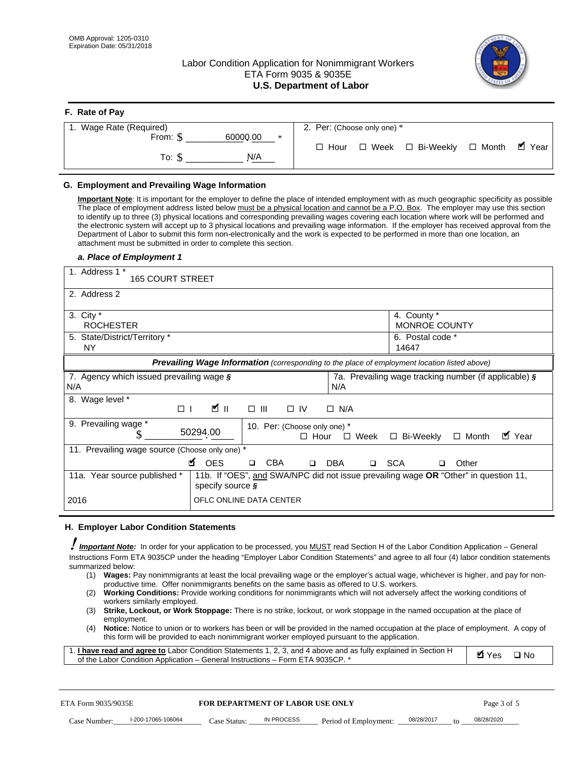**F. Rate of Pay** 

# Labor Condition Application for Nonimmigrant Workers ETA Form 9035 & 9035E **U.S. Department of Labor**



| <b>F.</b> Rate of Pay          |                                                               |
|--------------------------------|---------------------------------------------------------------|
| 1. Wage Rate (Required)        | 2. Per: (Choose only one) *                                   |
| 60000.00<br>From: \$<br>$\ast$ |                                                               |
| N/A<br>To: S                   | . ■ Year<br>□ Week □ Bi-Weekly<br>$\Box$ Month<br>$\Box$ Hour |

## **G. Employment and Prevailing Wage Information**

#### *a. Place of Employment 1*

| From: \$                                                                                                                                                                                                                                                                                                                                                                                                                                                                                                                                                                                                                                                                                                                                                                                                                                  | 60000.00<br>$\ast$<br>To: $\S$<br>N/A                                                                                                                                                                                                                                                                                                                                                                                                                                                                                                                                                                                                                                                                                                | $\Box$ Hour                                                | $\Box$ Week $\Box$ Bi-Weekly                          | $\blacksquare$ Year<br>$\Box$ Month |  |
|-------------------------------------------------------------------------------------------------------------------------------------------------------------------------------------------------------------------------------------------------------------------------------------------------------------------------------------------------------------------------------------------------------------------------------------------------------------------------------------------------------------------------------------------------------------------------------------------------------------------------------------------------------------------------------------------------------------------------------------------------------------------------------------------------------------------------------------------|--------------------------------------------------------------------------------------------------------------------------------------------------------------------------------------------------------------------------------------------------------------------------------------------------------------------------------------------------------------------------------------------------------------------------------------------------------------------------------------------------------------------------------------------------------------------------------------------------------------------------------------------------------------------------------------------------------------------------------------|------------------------------------------------------------|-------------------------------------------------------|-------------------------------------|--|
| G. Employment and Prevailing Wage Information<br>Important Note: It is important for the employer to define the place of intended employment with as much geographic specificity as possible<br>The place of employment address listed below must be a physical location and cannot be a P.O. Box. The employer may use this section<br>to identify up to three (3) physical locations and corresponding prevailing wages covering each location where work will be performed and<br>the electronic system will accept up to 3 physical locations and prevailing wage information. If the employer has received approval from the<br>Department of Labor to submit this form non-electronically and the work is expected to be performed in more than one location, an<br>attachment must be submitted in order to complete this section. |                                                                                                                                                                                                                                                                                                                                                                                                                                                                                                                                                                                                                                                                                                                                      |                                                            |                                                       |                                     |  |
| a. Place of Employment 1<br>1. Address 1 *                                                                                                                                                                                                                                                                                                                                                                                                                                                                                                                                                                                                                                                                                                                                                                                                |                                                                                                                                                                                                                                                                                                                                                                                                                                                                                                                                                                                                                                                                                                                                      |                                                            |                                                       |                                     |  |
| <b>165 COURT STREET</b><br>2. Address 2                                                                                                                                                                                                                                                                                                                                                                                                                                                                                                                                                                                                                                                                                                                                                                                                   |                                                                                                                                                                                                                                                                                                                                                                                                                                                                                                                                                                                                                                                                                                                                      |                                                            |                                                       |                                     |  |
|                                                                                                                                                                                                                                                                                                                                                                                                                                                                                                                                                                                                                                                                                                                                                                                                                                           |                                                                                                                                                                                                                                                                                                                                                                                                                                                                                                                                                                                                                                                                                                                                      |                                                            |                                                       |                                     |  |
| 3. City $*$<br><b>ROCHESTER</b>                                                                                                                                                                                                                                                                                                                                                                                                                                                                                                                                                                                                                                                                                                                                                                                                           |                                                                                                                                                                                                                                                                                                                                                                                                                                                                                                                                                                                                                                                                                                                                      |                                                            | 4. County *<br><b>MONROE COUNTY</b>                   |                                     |  |
| 5. State/District/Territory *<br>ΝY                                                                                                                                                                                                                                                                                                                                                                                                                                                                                                                                                                                                                                                                                                                                                                                                       |                                                                                                                                                                                                                                                                                                                                                                                                                                                                                                                                                                                                                                                                                                                                      |                                                            | 6. Postal code *<br>14647                             |                                     |  |
|                                                                                                                                                                                                                                                                                                                                                                                                                                                                                                                                                                                                                                                                                                                                                                                                                                           | Prevailing Wage Information (corresponding to the place of employment location listed above)                                                                                                                                                                                                                                                                                                                                                                                                                                                                                                                                                                                                                                         |                                                            |                                                       |                                     |  |
| 7. Agency which issued prevailing wage §<br>N/A                                                                                                                                                                                                                                                                                                                                                                                                                                                                                                                                                                                                                                                                                                                                                                                           |                                                                                                                                                                                                                                                                                                                                                                                                                                                                                                                                                                                                                                                                                                                                      | N/A                                                        | 7a. Prevailing wage tracking number (if applicable) § |                                     |  |
| 8. Wage level *<br>$\Box$                                                                                                                                                                                                                                                                                                                                                                                                                                                                                                                                                                                                                                                                                                                                                                                                                 | $\mathbf{K}$ II<br>$\Box$<br>III                                                                                                                                                                                                                                                                                                                                                                                                                                                                                                                                                                                                                                                                                                     | $\Box$ IV<br>$\Box$ N/A                                    |                                                       |                                     |  |
| 9. Prevailing wage *<br>S                                                                                                                                                                                                                                                                                                                                                                                                                                                                                                                                                                                                                                                                                                                                                                                                                 | 50294.00                                                                                                                                                                                                                                                                                                                                                                                                                                                                                                                                                                                                                                                                                                                             | 10. Per: (Choose only one) *<br>$\Box$ Hour<br>$\Box$ Week | □ Bi-Weekly                                           | ■ Year<br>$\Box$ Month              |  |
| 11. Prevailing wage source (Choose only one) *                                                                                                                                                                                                                                                                                                                                                                                                                                                                                                                                                                                                                                                                                                                                                                                            | <b>¤</b> OES<br><b>CBA</b><br>$\Box$                                                                                                                                                                                                                                                                                                                                                                                                                                                                                                                                                                                                                                                                                                 | □ SCA<br>DBA<br>$\Box$                                     | □                                                     | Other                               |  |
| 11a. Year source published *                                                                                                                                                                                                                                                                                                                                                                                                                                                                                                                                                                                                                                                                                                                                                                                                              | 11b. If "OES", and SWA/NPC did not issue prevailing wage OR "Other" in question 11,<br>specify source $\boldsymbol{\S}$                                                                                                                                                                                                                                                                                                                                                                                                                                                                                                                                                                                                              |                                                            |                                                       |                                     |  |
| 2016                                                                                                                                                                                                                                                                                                                                                                                                                                                                                                                                                                                                                                                                                                                                                                                                                                      | OFLC ONLINE DATA CENTER                                                                                                                                                                                                                                                                                                                                                                                                                                                                                                                                                                                                                                                                                                              |                                                            |                                                       |                                     |  |
| H. Employer Labor Condition Statements                                                                                                                                                                                                                                                                                                                                                                                                                                                                                                                                                                                                                                                                                                                                                                                                    |                                                                                                                                                                                                                                                                                                                                                                                                                                                                                                                                                                                                                                                                                                                                      |                                                            |                                                       |                                     |  |
| Important Note: In order for your application to be processed, you MUST read Section H of the Labor Condition Application - General<br>Instructions Form ETA 9035CP under the heading "Employer Labor Condition Statements" and agree to all four (4) labor condition statements<br>summarized below:<br>(1)<br>(2)<br>workers similarly employed.<br>(3)<br>employment.<br>(4)<br>1. <i>I have read and agree to</i> Labor Condition Statements 1, 2, 3, and 4 above and as fully explained in Section H<br>of the Labor Condition Application - General Instructions - Form ETA 9035CP. *                                                                                                                                                                                                                                               | Wages: Pay nonimmigrants at least the local prevailing wage or the employer's actual wage, whichever is higher, and pay for non-<br>productive time. Offer nonimmigrants benefits on the same basis as offered to U.S. workers.<br><b>Working Conditions:</b> Provide working conditions for nonimmigrants which will not adversely affect the working conditions of<br>Strike, Lockout, or Work Stoppage: There is no strike, lockout, or work stoppage in the named occupation at the place of<br>Notice: Notice to union or to workers has been or will be provided in the named occupation at the place of employment. A copy of<br>this form will be provided to each nonimmigrant worker employed pursuant to the application. |                                                            |                                                       | <b>Ø</b> Yes<br>$\square$ No        |  |
| ETA Form 9035/9035E                                                                                                                                                                                                                                                                                                                                                                                                                                                                                                                                                                                                                                                                                                                                                                                                                       | <b>FOR DEPARTMENT OF LABOR USE ONLY</b>                                                                                                                                                                                                                                                                                                                                                                                                                                                                                                                                                                                                                                                                                              |                                                            |                                                       | Page 3 of 5                         |  |
| I-200-17065-106064<br>Case Number:                                                                                                                                                                                                                                                                                                                                                                                                                                                                                                                                                                                                                                                                                                                                                                                                        | IN PROCESS<br>Case Status: .                                                                                                                                                                                                                                                                                                                                                                                                                                                                                                                                                                                                                                                                                                         | Period of Employment:                                      | 08/28/2017                                            | 08/28/2020                          |  |

#### **H. Employer Labor Condition Statements**

- (1) **Wages:** Pay nonimmigrants at least the local prevailing wage or the employer's actual wage, whichever is higher, and pay for nonproductive time. Offer nonimmigrants benefits on the same basis as offered to U.S. workers.
- (2) **Working Conditions:** Provide working conditions for nonimmigrants which will not adversely affect the working conditions of workers similarly employed.
- (3) **Strike, Lockout, or Work Stoppage:** There is no strike, lockout, or work stoppage in the named occupation at the place of employment.
- (4) **Notice:** Notice to union or to workers has been or will be provided in the named occupation at the place of employment. A copy of this form will be provided to each nonimmigrant worker employed pursuant to the application.

| 1. I have read and agree to Labor Condition Statements 1, 2, 3, and 4 above and as fully explained in Section H | $\blacksquare$ Yes $\square$ No |  |
|-----------------------------------------------------------------------------------------------------------------|---------------------------------|--|
| of the Labor Condition Application – General Instructions – Form ETA 9035CP. *                                  |                                 |  |

| ETA Form 9035/9035E |                    | <b>FOR DEPARTMENT OF LABOR USE ONLY</b> |            |                       | Page 3 of 5 |    |            |
|---------------------|--------------------|-----------------------------------------|------------|-----------------------|-------------|----|------------|
| Case Number:        | l-200-17065-106064 | Case Status:                            | IN PROCESS | Period of Employment: | 08/28/2017  | to | 08/28/2020 |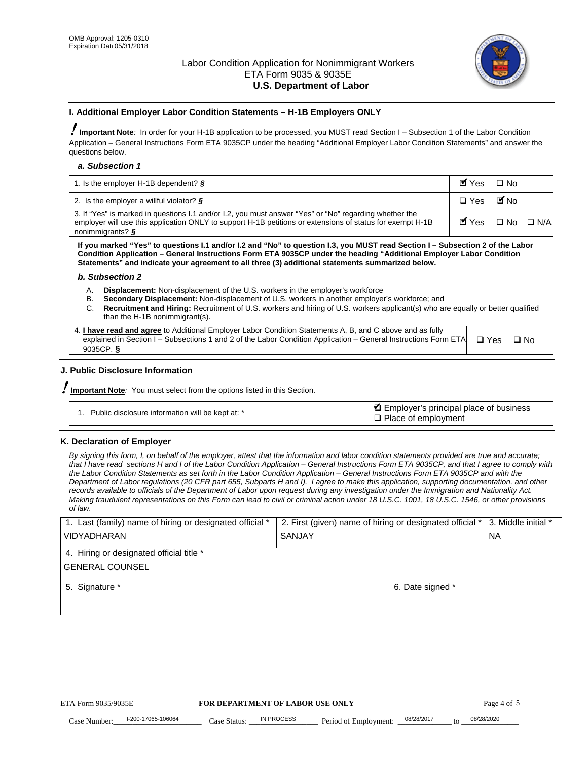

#### **I. Additional Employer Labor Condition Statements – H-1B Employers ONLY**

!**Important Note***:* In order for your H-1B application to be processed, you MUST read Section I – Subsection 1 of the Labor Condition Application – General Instructions Form ETA 9035CP under the heading "Additional Employer Labor Condition Statements" and answer the questions below.

#### *a. Subsection 1*

| 1. Is the employer H-1B dependent? $\S$                                                                                                                                                                                                 | Myes                                          | $\Box$ No              |  |
|-----------------------------------------------------------------------------------------------------------------------------------------------------------------------------------------------------------------------------------------|-----------------------------------------------|------------------------|--|
| 2. Is the employer a willful violator? $\frac{1}{2}$                                                                                                                                                                                    | $\Box$ Yes                                    | <b>M</b> <sub>No</sub> |  |
| 3. If "Yes" is marked in questions 1.1 and/or 1.2, you must answer "Yes" or "No" regarding whether the<br>employer will use this application ONLY to support H-1B petitions or extensions of status for exempt H-1B<br>nonimmigrants? § | $\blacksquare$ Yes $\square$ No $\square$ N/A |                        |  |

**If you marked "Yes" to questions I.1 and/or I.2 and "No" to question I.3, you MUST read Section I – Subsection 2 of the Labor Condition Application – General Instructions Form ETA 9035CP under the heading "Additional Employer Labor Condition Statements" and indicate your agreement to all three (3) additional statements summarized below.** 

#### *b. Subsection 2*

- A. **Displacement:** Non-displacement of the U.S. workers in the employer's workforce
- B. **Secondary Displacement:** Non-displacement of U.S. workers in another employer's workforce; and
- C. **Recruitment and Hiring:** Recruitment of U.S. workers and hiring of U.S. workers applicant(s) who are equally or better qualified than the H-1B nonimmigrant(s).

| 4. I have read and agree to Additional Employer Labor Condition Statements A, B, and C above and as fully                  |      |
|----------------------------------------------------------------------------------------------------------------------------|------|
| explained in Section I – Subsections 1 and 2 of the Labor Condition Application – General Instructions Form ETA $\Box$ Yes | ∩ N∩ |
| 9035CP. $\delta$                                                                                                           |      |

# **J. Public Disclosure Information**

!**Important Note***:* You must select from the options listed in this Section.

| Public disclosure information will be kept at: * | Employer's principal place of business<br>$\Box$ Place of employment |
|--------------------------------------------------|----------------------------------------------------------------------|
|--------------------------------------------------|----------------------------------------------------------------------|

#### **K. Declaration of Employer**

*By signing this form, I, on behalf of the employer, attest that the information and labor condition statements provided are true and accurate;*  that I have read sections H and I of the Labor Condition Application – General Instructions Form ETA 9035CP, and that I agree to comply with *the Labor Condition Statements as set forth in the Labor Condition Application – General Instructions Form ETA 9035CP and with the Department of Labor regulations (20 CFR part 655, Subparts H and I). I agree to make this application, supporting documentation, and other records available to officials of the Department of Labor upon request during any investigation under the Immigration and Nationality Act. Making fraudulent representations on this Form can lead to civil or criminal action under 18 U.S.C. 1001, 18 U.S.C. 1546, or other provisions of law.* 

| 1. Last (family) name of hiring or designated official * | 2. First (given) name of hiring or designated official * |                                               | 3. Middle initial * |
|----------------------------------------------------------|----------------------------------------------------------|-----------------------------------------------|---------------------|
| <b>VIDYADHARAN</b>                                       | <b>SANJAY</b>                                            |                                               | <b>NA</b>           |
| 4. Hiring or designated official title *                 |                                                          |                                               |                     |
| <b>GENERAL COUNSEL</b>                                   |                                                          |                                               |                     |
| 5. Signature *                                           |                                                          | 6. Date signed *                              |                     |
|                                                          |                                                          |                                               |                     |
|                                                          |                                                          |                                               |                     |
|                                                          |                                                          |                                               |                     |
|                                                          |                                                          |                                               |                     |
| FOR DEPARTMENT OF LABOR USE ONLY<br>ETA Form 9035/9035E  |                                                          |                                               | Page 4 of 5         |
| I-200-17065-106064<br>Case Number<br>Case Status:        | IN PROCESS<br>Period of Employment:                      | 08/28/2017<br>08/28/2020<br>$\mathsf{t} \cap$ |                     |